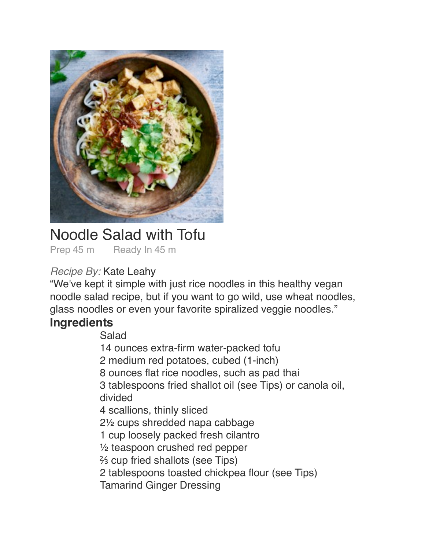

# Noodle Salad with Tofu

Prep 45 m Ready In 45 m

### *Recipe By:* Kate Leahy

"We've kept it simple with just rice noodles in this healthy vegan noodle salad recipe, but if you want to go wild, use wheat noodles, glass noodles or even your favorite spiralized veggie noodles."

## **Ingredients**

#### Salad

- 14 ounces extra-firm water-packed tofu
- 2 medium red potatoes, cubed (1-inch)
- 8 ounces flat rice noodles, such as pad thai
- 3 tablespoons fried shallot oil (see Tips) or canola oil, divided
- 4 scallions, thinly sliced
- 2<sup>1</sup>/<sub>2</sub> cups shredded napa cabbage
- 1 cup loosely packed fresh cilantro
- $\frac{1}{2}$  teaspoon crushed red pepper
- % cup fried shallots (see Tips)
- 2 tablespoons toasted chickpea flour (see Tips)
- **Tamarind Ginger Dressing**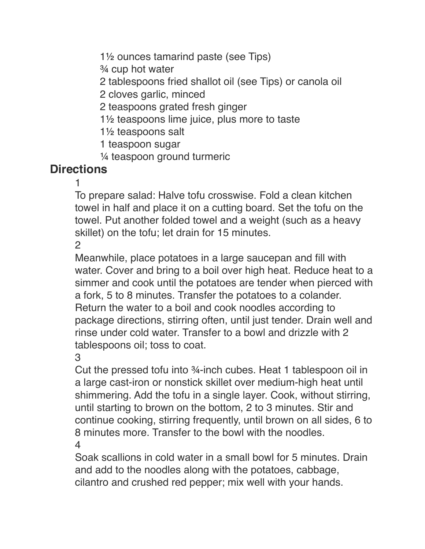1<sup>1</sup>/<sub>2</sub> ounces tamarind paste (see Tips)

 $\frac{3}{4}$  cup hot water

2 tablespoons fried shallot oil (see Tips) or canola oil

2 cloves garlic, minced

2 teaspoons grated fresh ginger

 $1\frac{1}{2}$  teaspoons lime juice, plus more to taste

 $1\%$  teaspoons salt

1 teaspoon sugar

 $\frac{1}{4}$  teaspoon ground turmeric

## **Directions**

 $\blacksquare$ 

To prepare salad: Halve tofu crosswise. Fold a clean kitchen towel in half and place it on a cutting board. Set the tofu on the towel. Put another folded towel and a weight (such as a heavy skillet) on the tofu; let drain for 15 minutes.

 $\overline{2}$ 

Meanwhile, place potatoes in a large saucepan and fill with water. Cover and bring to a boil over high heat. Reduce heat to a simmer and cook until the potatoes are tender when pierced with a fork, 5 to 8 minutes. Transfer the potatoes to a colander. Return the water to a boil and cook noodles according to package directions, stirring often, until just tender. Drain well and rinse under cold water. Transfer to a bowl and drizzle with 2 tablespoons oil; toss to coat.

 $3<sup>°</sup>$ 

Cut the pressed tofu into ¾-inch cubes. Heat 1 tablespoon oil in a large cast-iron or nonstick skillet over medium-high heat until shimmering. Add the tofu in a single layer. Cook, without stirring, until starting to brown on the bottom, 2 to 3 minutes. Stir and continue cooking, stirring frequently, until brown on all sides, 6 to 8 minutes more. Transfer to the bowl with the noodles.  $\overline{4}$ 

Soak scallions in cold water in a small bowl for 5 minutes. Drain and add to the noodles along with the potatoes, cabbage, cilantro and crushed red pepper; mix well with your hands.